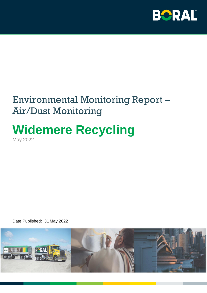

# Environmental Monitoring Report – Air/Dust Monitoring

## **Widemere Recycling** May 2022

Date Published: 31 May 2022

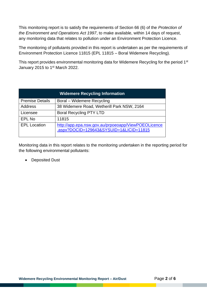This monitoring report is to satisfy the requirements of Section 66 (6) of the *Protection of the Environment and Operations Act 1997*, to make available, within 14 days of request, any monitoring data that relates to pollution under an Environment Protection Licence.

The monitoring of pollutants provided in this report is undertaken as per the requirements of Environment Protection Licence 11815 (EPL 11815 – Boral Widemere Recycling).

This report provides environmental monitoring data for Widemere Recycling for the period 1<sup>st</sup> January 2015 to 1<sup>st</sup> March 2022.

| <b>Widemere Recycling Information</b> |                                                                                                |  |  |  |
|---------------------------------------|------------------------------------------------------------------------------------------------|--|--|--|
| <b>Premise Details</b>                | Boral – Widemere Recycling                                                                     |  |  |  |
| Address                               | 38 Widemere Road, Wetherill Park NSW, 2164                                                     |  |  |  |
| Licensee                              | <b>Boral Recycling PTY LTD</b>                                                                 |  |  |  |
| EPL No                                | 11815                                                                                          |  |  |  |
| <b>EPL Location</b>                   | http://app.epa.nsw.gov.au/prpoeoapp/ViewPOEOLicence<br>.aspx?DOCID=129643&SYSUID=1&LICID=11815 |  |  |  |

Monitoring data in this report relates to the monitoring undertaken in the reporting period for the following environmental pollutants:

• Deposited Dust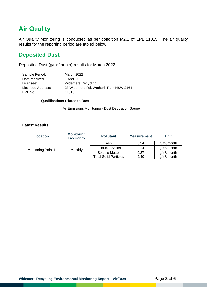## **Air Quality**

Air Quality Monitoring is conducted as per condition M2.1 of EPL 11815. The air quality results for the reporting period are tabled below.

### **Deposited Dust**

Deposited Dust (g/m<sup>2</sup>/month) results for March 2022

| Sample Period:    | March 2022                              |
|-------------------|-----------------------------------------|
| Date received:    | 1 April 2022                            |
| Licensee:         | <b>Widemere Recycling</b>               |
| Licensee Address: | 38 Widemere Rd, Wetherill Park NSW 2164 |
| EPL No:           | 11815                                   |

#### **Qualifications related to Dust**

Air Emissions Monitoring - Dust Deposition Gauge

#### **Latest Results**

| Location           | <b>Monitoring</b><br><b>Frequency</b> | <b>Pollutant</b>             | <b>Measurement</b> | <b>Unit</b>             |
|--------------------|---------------------------------------|------------------------------|--------------------|-------------------------|
| Monitoring Point 1 | Monthly                               | Ash                          | 0.54               | g/m <sup>2</sup> /month |
|                    |                                       | <b>Insoluble Solids</b>      | 2.14               | g/m <sup>2</sup> /month |
|                    |                                       | Soluble Matter               | 0.27               | g/m <sup>2</sup> /month |
|                    |                                       | <b>Total Solid Particles</b> | 2.40               | g/m <sup>2</sup> /month |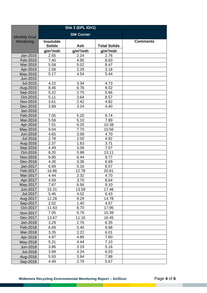| <b>SW Corner</b><br><b>Monthly Dust</b><br>Monitoring<br><b>Insoluble</b><br><b>Comments</b><br><b>Solids</b><br>Ash<br><b>Total Solids</b><br>$g/m^2/m$ th<br>$g/m^2/mth$<br>$g/m^2/m$ th<br>2.55<br>2.24<br>2.76<br>Jan-2015<br>Feb-2015<br>7.40<br>4.95<br>8.93<br>5.02<br>8.47<br>Mar-2015<br>5.58<br>2.29<br>3.18<br>Apr-2015<br>2.58<br>5.17<br>5.44<br>4.54<br>May-2015<br>Jun-2015<br>Jul-2015<br>4.22<br>3.34<br>4.73<br>8.46<br>6.76<br>9.02<br>Aug-2015<br>5.22<br>Sep-2015<br>2.75<br>5.66<br>5.11<br>3.64<br>8.57<br>Oct-2015<br>$\overline{2}.42$<br>3.61<br>4.82<br>Nov-2015<br>3.24<br>3.89<br>4.40<br>Dec-2015<br>Jan-2016<br>5.20<br>9.74<br>Feb-2016<br>7.05<br>5.59<br>5.10<br>7.89<br>Mar-2016<br>7.01<br>6.25<br>10.38<br>Apr-2016<br>9.04<br>7.70<br>10.56<br>May-2016<br>4.65<br>3.59<br>4.70<br>Jun-2016<br>Jul-2016<br>2.78<br>2.00<br>4.92<br>2.37<br>1.63<br>3.71<br>Aug-2016<br>3.06<br>Sep-2016<br>4.49<br>7.07<br>8.20<br>5.88<br>Oct-2016<br>13.11<br>6.85<br>Nov-2016<br>6.44<br>9.77<br>4.30<br>3.36<br>Dec-2016<br>6.69<br>6.69<br>9.57<br>5.16<br>Jan-2017<br>Feb-2017<br>12.78<br>16.86<br>20.81<br>Mar-2017<br>4.44<br>2.32<br>4.70<br>Apr-2017<br>4.59<br>3.70<br>8.64<br>6.56<br>May-2017<br>7.87<br>9.10<br>15.31<br>13.59<br>17.46<br>Jun-2017<br>Jul-2017<br>5.46<br>4.02<br>6.43<br>12.28<br>14.78<br>9.29<br>Aug-2017<br>Sep-2017<br>2.02<br>4.57<br>1.40<br>11.63<br>8.70<br>Oct-2017<br>17.95<br>7.05<br>5.76<br>10.39<br>Nov-2017<br>13.67<br>11.16<br>16.45<br>Dec-2017<br>6.35<br>3.29<br>2.76<br>Jan-2018<br>9.88<br>Feb-2018<br>6.69<br>5.40<br>3.35<br>Mar-2018<br>2.22<br>6.01<br>4.89<br>7.60<br>Apr-2018<br>4.97<br>4.44<br>7.10<br>May-2018<br>5.31<br>5.16<br>3.86<br>3.19<br>Jun-2018<br>3.99<br>3.24<br>6.03<br><b>Jul-2018</b><br>5.93<br>3.94<br>7.88<br>Aug-2018<br>5.67<br>2.79<br>Sep-2018<br>4.99 |  | <b>Site 2 (EPL ID#1)</b> |  |  |
|---------------------------------------------------------------------------------------------------------------------------------------------------------------------------------------------------------------------------------------------------------------------------------------------------------------------------------------------------------------------------------------------------------------------------------------------------------------------------------------------------------------------------------------------------------------------------------------------------------------------------------------------------------------------------------------------------------------------------------------------------------------------------------------------------------------------------------------------------------------------------------------------------------------------------------------------------------------------------------------------------------------------------------------------------------------------------------------------------------------------------------------------------------------------------------------------------------------------------------------------------------------------------------------------------------------------------------------------------------------------------------------------------------------------------------------------------------------------------------------------------------------------------------------------------------------------------------------------------------------------------------------------------------------------------------------------------------------------------------------------------------------------------------------------------------------------------------------------------------------------|--|--------------------------|--|--|
|                                                                                                                                                                                                                                                                                                                                                                                                                                                                                                                                                                                                                                                                                                                                                                                                                                                                                                                                                                                                                                                                                                                                                                                                                                                                                                                                                                                                                                                                                                                                                                                                                                                                                                                                                                                                                                                                     |  |                          |  |  |
|                                                                                                                                                                                                                                                                                                                                                                                                                                                                                                                                                                                                                                                                                                                                                                                                                                                                                                                                                                                                                                                                                                                                                                                                                                                                                                                                                                                                                                                                                                                                                                                                                                                                                                                                                                                                                                                                     |  |                          |  |  |
|                                                                                                                                                                                                                                                                                                                                                                                                                                                                                                                                                                                                                                                                                                                                                                                                                                                                                                                                                                                                                                                                                                                                                                                                                                                                                                                                                                                                                                                                                                                                                                                                                                                                                                                                                                                                                                                                     |  |                          |  |  |
|                                                                                                                                                                                                                                                                                                                                                                                                                                                                                                                                                                                                                                                                                                                                                                                                                                                                                                                                                                                                                                                                                                                                                                                                                                                                                                                                                                                                                                                                                                                                                                                                                                                                                                                                                                                                                                                                     |  |                          |  |  |
|                                                                                                                                                                                                                                                                                                                                                                                                                                                                                                                                                                                                                                                                                                                                                                                                                                                                                                                                                                                                                                                                                                                                                                                                                                                                                                                                                                                                                                                                                                                                                                                                                                                                                                                                                                                                                                                                     |  |                          |  |  |
|                                                                                                                                                                                                                                                                                                                                                                                                                                                                                                                                                                                                                                                                                                                                                                                                                                                                                                                                                                                                                                                                                                                                                                                                                                                                                                                                                                                                                                                                                                                                                                                                                                                                                                                                                                                                                                                                     |  |                          |  |  |
|                                                                                                                                                                                                                                                                                                                                                                                                                                                                                                                                                                                                                                                                                                                                                                                                                                                                                                                                                                                                                                                                                                                                                                                                                                                                                                                                                                                                                                                                                                                                                                                                                                                                                                                                                                                                                                                                     |  |                          |  |  |
|                                                                                                                                                                                                                                                                                                                                                                                                                                                                                                                                                                                                                                                                                                                                                                                                                                                                                                                                                                                                                                                                                                                                                                                                                                                                                                                                                                                                                                                                                                                                                                                                                                                                                                                                                                                                                                                                     |  |                          |  |  |
|                                                                                                                                                                                                                                                                                                                                                                                                                                                                                                                                                                                                                                                                                                                                                                                                                                                                                                                                                                                                                                                                                                                                                                                                                                                                                                                                                                                                                                                                                                                                                                                                                                                                                                                                                                                                                                                                     |  |                          |  |  |
|                                                                                                                                                                                                                                                                                                                                                                                                                                                                                                                                                                                                                                                                                                                                                                                                                                                                                                                                                                                                                                                                                                                                                                                                                                                                                                                                                                                                                                                                                                                                                                                                                                                                                                                                                                                                                                                                     |  |                          |  |  |
|                                                                                                                                                                                                                                                                                                                                                                                                                                                                                                                                                                                                                                                                                                                                                                                                                                                                                                                                                                                                                                                                                                                                                                                                                                                                                                                                                                                                                                                                                                                                                                                                                                                                                                                                                                                                                                                                     |  |                          |  |  |
|                                                                                                                                                                                                                                                                                                                                                                                                                                                                                                                                                                                                                                                                                                                                                                                                                                                                                                                                                                                                                                                                                                                                                                                                                                                                                                                                                                                                                                                                                                                                                                                                                                                                                                                                                                                                                                                                     |  |                          |  |  |
|                                                                                                                                                                                                                                                                                                                                                                                                                                                                                                                                                                                                                                                                                                                                                                                                                                                                                                                                                                                                                                                                                                                                                                                                                                                                                                                                                                                                                                                                                                                                                                                                                                                                                                                                                                                                                                                                     |  |                          |  |  |
|                                                                                                                                                                                                                                                                                                                                                                                                                                                                                                                                                                                                                                                                                                                                                                                                                                                                                                                                                                                                                                                                                                                                                                                                                                                                                                                                                                                                                                                                                                                                                                                                                                                                                                                                                                                                                                                                     |  |                          |  |  |
|                                                                                                                                                                                                                                                                                                                                                                                                                                                                                                                                                                                                                                                                                                                                                                                                                                                                                                                                                                                                                                                                                                                                                                                                                                                                                                                                                                                                                                                                                                                                                                                                                                                                                                                                                                                                                                                                     |  |                          |  |  |
|                                                                                                                                                                                                                                                                                                                                                                                                                                                                                                                                                                                                                                                                                                                                                                                                                                                                                                                                                                                                                                                                                                                                                                                                                                                                                                                                                                                                                                                                                                                                                                                                                                                                                                                                                                                                                                                                     |  |                          |  |  |
|                                                                                                                                                                                                                                                                                                                                                                                                                                                                                                                                                                                                                                                                                                                                                                                                                                                                                                                                                                                                                                                                                                                                                                                                                                                                                                                                                                                                                                                                                                                                                                                                                                                                                                                                                                                                                                                                     |  |                          |  |  |
|                                                                                                                                                                                                                                                                                                                                                                                                                                                                                                                                                                                                                                                                                                                                                                                                                                                                                                                                                                                                                                                                                                                                                                                                                                                                                                                                                                                                                                                                                                                                                                                                                                                                                                                                                                                                                                                                     |  |                          |  |  |
|                                                                                                                                                                                                                                                                                                                                                                                                                                                                                                                                                                                                                                                                                                                                                                                                                                                                                                                                                                                                                                                                                                                                                                                                                                                                                                                                                                                                                                                                                                                                                                                                                                                                                                                                                                                                                                                                     |  |                          |  |  |
|                                                                                                                                                                                                                                                                                                                                                                                                                                                                                                                                                                                                                                                                                                                                                                                                                                                                                                                                                                                                                                                                                                                                                                                                                                                                                                                                                                                                                                                                                                                                                                                                                                                                                                                                                                                                                                                                     |  |                          |  |  |
|                                                                                                                                                                                                                                                                                                                                                                                                                                                                                                                                                                                                                                                                                                                                                                                                                                                                                                                                                                                                                                                                                                                                                                                                                                                                                                                                                                                                                                                                                                                                                                                                                                                                                                                                                                                                                                                                     |  |                          |  |  |
|                                                                                                                                                                                                                                                                                                                                                                                                                                                                                                                                                                                                                                                                                                                                                                                                                                                                                                                                                                                                                                                                                                                                                                                                                                                                                                                                                                                                                                                                                                                                                                                                                                                                                                                                                                                                                                                                     |  |                          |  |  |
|                                                                                                                                                                                                                                                                                                                                                                                                                                                                                                                                                                                                                                                                                                                                                                                                                                                                                                                                                                                                                                                                                                                                                                                                                                                                                                                                                                                                                                                                                                                                                                                                                                                                                                                                                                                                                                                                     |  |                          |  |  |
|                                                                                                                                                                                                                                                                                                                                                                                                                                                                                                                                                                                                                                                                                                                                                                                                                                                                                                                                                                                                                                                                                                                                                                                                                                                                                                                                                                                                                                                                                                                                                                                                                                                                                                                                                                                                                                                                     |  |                          |  |  |
|                                                                                                                                                                                                                                                                                                                                                                                                                                                                                                                                                                                                                                                                                                                                                                                                                                                                                                                                                                                                                                                                                                                                                                                                                                                                                                                                                                                                                                                                                                                                                                                                                                                                                                                                                                                                                                                                     |  |                          |  |  |
|                                                                                                                                                                                                                                                                                                                                                                                                                                                                                                                                                                                                                                                                                                                                                                                                                                                                                                                                                                                                                                                                                                                                                                                                                                                                                                                                                                                                                                                                                                                                                                                                                                                                                                                                                                                                                                                                     |  |                          |  |  |
|                                                                                                                                                                                                                                                                                                                                                                                                                                                                                                                                                                                                                                                                                                                                                                                                                                                                                                                                                                                                                                                                                                                                                                                                                                                                                                                                                                                                                                                                                                                                                                                                                                                                                                                                                                                                                                                                     |  |                          |  |  |
|                                                                                                                                                                                                                                                                                                                                                                                                                                                                                                                                                                                                                                                                                                                                                                                                                                                                                                                                                                                                                                                                                                                                                                                                                                                                                                                                                                                                                                                                                                                                                                                                                                                                                                                                                                                                                                                                     |  |                          |  |  |
|                                                                                                                                                                                                                                                                                                                                                                                                                                                                                                                                                                                                                                                                                                                                                                                                                                                                                                                                                                                                                                                                                                                                                                                                                                                                                                                                                                                                                                                                                                                                                                                                                                                                                                                                                                                                                                                                     |  |                          |  |  |
|                                                                                                                                                                                                                                                                                                                                                                                                                                                                                                                                                                                                                                                                                                                                                                                                                                                                                                                                                                                                                                                                                                                                                                                                                                                                                                                                                                                                                                                                                                                                                                                                                                                                                                                                                                                                                                                                     |  |                          |  |  |
|                                                                                                                                                                                                                                                                                                                                                                                                                                                                                                                                                                                                                                                                                                                                                                                                                                                                                                                                                                                                                                                                                                                                                                                                                                                                                                                                                                                                                                                                                                                                                                                                                                                                                                                                                                                                                                                                     |  |                          |  |  |
|                                                                                                                                                                                                                                                                                                                                                                                                                                                                                                                                                                                                                                                                                                                                                                                                                                                                                                                                                                                                                                                                                                                                                                                                                                                                                                                                                                                                                                                                                                                                                                                                                                                                                                                                                                                                                                                                     |  |                          |  |  |
|                                                                                                                                                                                                                                                                                                                                                                                                                                                                                                                                                                                                                                                                                                                                                                                                                                                                                                                                                                                                                                                                                                                                                                                                                                                                                                                                                                                                                                                                                                                                                                                                                                                                                                                                                                                                                                                                     |  |                          |  |  |
|                                                                                                                                                                                                                                                                                                                                                                                                                                                                                                                                                                                                                                                                                                                                                                                                                                                                                                                                                                                                                                                                                                                                                                                                                                                                                                                                                                                                                                                                                                                                                                                                                                                                                                                                                                                                                                                                     |  |                          |  |  |
|                                                                                                                                                                                                                                                                                                                                                                                                                                                                                                                                                                                                                                                                                                                                                                                                                                                                                                                                                                                                                                                                                                                                                                                                                                                                                                                                                                                                                                                                                                                                                                                                                                                                                                                                                                                                                                                                     |  |                          |  |  |
|                                                                                                                                                                                                                                                                                                                                                                                                                                                                                                                                                                                                                                                                                                                                                                                                                                                                                                                                                                                                                                                                                                                                                                                                                                                                                                                                                                                                                                                                                                                                                                                                                                                                                                                                                                                                                                                                     |  |                          |  |  |
|                                                                                                                                                                                                                                                                                                                                                                                                                                                                                                                                                                                                                                                                                                                                                                                                                                                                                                                                                                                                                                                                                                                                                                                                                                                                                                                                                                                                                                                                                                                                                                                                                                                                                                                                                                                                                                                                     |  |                          |  |  |
|                                                                                                                                                                                                                                                                                                                                                                                                                                                                                                                                                                                                                                                                                                                                                                                                                                                                                                                                                                                                                                                                                                                                                                                                                                                                                                                                                                                                                                                                                                                                                                                                                                                                                                                                                                                                                                                                     |  |                          |  |  |
|                                                                                                                                                                                                                                                                                                                                                                                                                                                                                                                                                                                                                                                                                                                                                                                                                                                                                                                                                                                                                                                                                                                                                                                                                                                                                                                                                                                                                                                                                                                                                                                                                                                                                                                                                                                                                                                                     |  |                          |  |  |
|                                                                                                                                                                                                                                                                                                                                                                                                                                                                                                                                                                                                                                                                                                                                                                                                                                                                                                                                                                                                                                                                                                                                                                                                                                                                                                                                                                                                                                                                                                                                                                                                                                                                                                                                                                                                                                                                     |  |                          |  |  |
|                                                                                                                                                                                                                                                                                                                                                                                                                                                                                                                                                                                                                                                                                                                                                                                                                                                                                                                                                                                                                                                                                                                                                                                                                                                                                                                                                                                                                                                                                                                                                                                                                                                                                                                                                                                                                                                                     |  |                          |  |  |
|                                                                                                                                                                                                                                                                                                                                                                                                                                                                                                                                                                                                                                                                                                                                                                                                                                                                                                                                                                                                                                                                                                                                                                                                                                                                                                                                                                                                                                                                                                                                                                                                                                                                                                                                                                                                                                                                     |  |                          |  |  |
|                                                                                                                                                                                                                                                                                                                                                                                                                                                                                                                                                                                                                                                                                                                                                                                                                                                                                                                                                                                                                                                                                                                                                                                                                                                                                                                                                                                                                                                                                                                                                                                                                                                                                                                                                                                                                                                                     |  |                          |  |  |
|                                                                                                                                                                                                                                                                                                                                                                                                                                                                                                                                                                                                                                                                                                                                                                                                                                                                                                                                                                                                                                                                                                                                                                                                                                                                                                                                                                                                                                                                                                                                                                                                                                                                                                                                                                                                                                                                     |  |                          |  |  |
|                                                                                                                                                                                                                                                                                                                                                                                                                                                                                                                                                                                                                                                                                                                                                                                                                                                                                                                                                                                                                                                                                                                                                                                                                                                                                                                                                                                                                                                                                                                                                                                                                                                                                                                                                                                                                                                                     |  |                          |  |  |
|                                                                                                                                                                                                                                                                                                                                                                                                                                                                                                                                                                                                                                                                                                                                                                                                                                                                                                                                                                                                                                                                                                                                                                                                                                                                                                                                                                                                                                                                                                                                                                                                                                                                                                                                                                                                                                                                     |  |                          |  |  |
|                                                                                                                                                                                                                                                                                                                                                                                                                                                                                                                                                                                                                                                                                                                                                                                                                                                                                                                                                                                                                                                                                                                                                                                                                                                                                                                                                                                                                                                                                                                                                                                                                                                                                                                                                                                                                                                                     |  |                          |  |  |
|                                                                                                                                                                                                                                                                                                                                                                                                                                                                                                                                                                                                                                                                                                                                                                                                                                                                                                                                                                                                                                                                                                                                                                                                                                                                                                                                                                                                                                                                                                                                                                                                                                                                                                                                                                                                                                                                     |  |                          |  |  |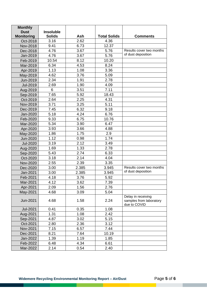| <b>Monthly</b>       |                  |             |                     |                                         |
|----------------------|------------------|-------------|---------------------|-----------------------------------------|
| <b>Dust</b>          | <b>Insoluble</b> |             |                     |                                         |
| <b>Monitoring</b>    | <b>Solids</b>    | Ash<br>2.62 | <b>Total Solids</b> | <b>Comments</b>                         |
| Oct-2018             | 3.16<br>9.41     | 6.73        | 4.36<br>12.37       |                                         |
| Nov-2018             | 4.76             | 3.67        | 5.76                | Results cover two months                |
| Dec-2018<br>Jan-2019 | 4.76             | 3.67        | 5.76                | of dust deposition                      |
| Feb-2019             | 10.54            | 8.12        | 10.20               |                                         |
|                      | 6.34             | 4.53        | 8.24                |                                         |
| Mar-2019             | 1.13             | 1.08        | 3.36                |                                         |
| Apr-2019<br>May-2019 | 4.62             | 3.76        | 5.09                |                                         |
|                      | 2.34             | 1.91        | 2.78                |                                         |
| Jun-2019<br>Jul-2019 | 2.69             | 1.90        | 4.09                |                                         |
|                      | 6                | 3.51        | 7.11                |                                         |
| Aug-2019             | 7.65             | 5.92        | 18.43               |                                         |
| Sep-2019<br>Oct-2019 | 2.64             | 2.25        | 4.31                |                                         |
| Nov-2019             | 3.71             | 3.25        | 5.11                |                                         |
|                      | 7.45             | 6.32        | 9.18                |                                         |
| Dec-2019<br>Jan-2020 | 5.18             | 4.24        | 6.76                |                                         |
| Feb-2020             | 9.33             | 6.75        | 10.76               |                                         |
|                      | 5.34             | 3.90        | 6.47                |                                         |
| Mar-2020             | 3.93             | 3.66        | 4.88                |                                         |
| Apr-2020             | 1.86             | 1.75        | 2.9                 |                                         |
| May-2020<br>Jun-2020 | 1.12             | 0.98        | 1.74                |                                         |
| <b>Jul-2020</b>      | 3.19             | 2.12        | 3.49                |                                         |
|                      | 1.69             | 1.33        | 2.78                |                                         |
| Aug-2020             | 5.43             | 2.74        | 6.33                |                                         |
| Sep-2020<br>Oct-2020 | 3.18             | 2.14        | 4.04                |                                         |
| Nov-2020             | 2.55             | 2.39        | 3.35                |                                         |
| Dec-2020             | 3.00             | 2.385       | 3.945               | Results cover two months                |
| Jan-2021             | 3.00             | 2.385       | 3.945               | of dust deposition                      |
| Feb-2021             | 4.18             | 3.76        | 5.92                |                                         |
| Mar-2021             | 4.12             | 3.62        | 7.39                |                                         |
|                      |                  |             | 2.76                |                                         |
| Apr-2021             | 2.09             | 1.56        |                     |                                         |
| May-2021             | 4.68             | 3.09        | 5.04                | Delay in receiving                      |
| Jun-2021             | 4.68             | 1.58        | 2.24                | samples from laboratory<br>due to COVID |
| Jul-2021             | 0.41             | 0.35        | 1.08                |                                         |
| Aug-2021             | 1.31             | 1.08        | 2.42                |                                         |
| Sep-2021             | 4.87             | 3.02        | 5.15                |                                         |
| Oct-2021             | 2.80             | 2.36        | 3.12                |                                         |
| Nov-2021             | 7.15             | 6.57        | 7.44                |                                         |
| Dec-2021             | 8.21             | 7.64        | 10.19               |                                         |
| Jan-2022             | 1.39             | 1.19        | 1.85                |                                         |
| Feb-2022             | 6.48             | 4.34        | 6.61                |                                         |
| Mar-2022             | 2.14             | 0.54        | 2.40                |                                         |